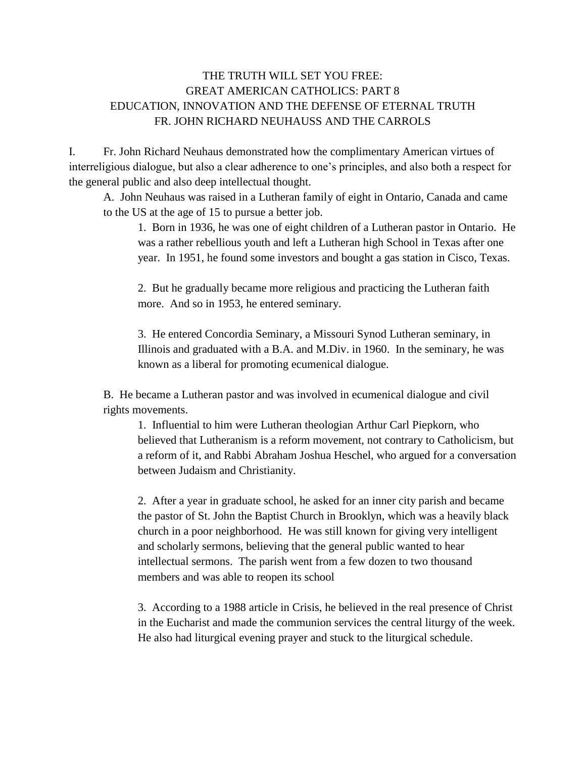## THE TRUTH WILL SET YOU FREE: GREAT AMERICAN CATHOLICS: PART 8 EDUCATION, INNOVATION AND THE DEFENSE OF ETERNAL TRUTH FR. JOHN RICHARD NEUHAUSS AND THE CARROLS

I. Fr. John Richard Neuhaus demonstrated how the complimentary American virtues of interreligious dialogue, but also a clear adherence to one's principles, and also both a respect for the general public and also deep intellectual thought.

A. John Neuhaus was raised in a Lutheran family of eight in Ontario, Canada and came to the US at the age of 15 to pursue a better job.

1. Born in 1936, he was one of eight children of a Lutheran pastor in Ontario. He was a rather rebellious youth and left a Lutheran high School in Texas after one year. In 1951, he found some investors and bought a gas station in Cisco, Texas.

2. But he gradually became more religious and practicing the Lutheran faith more. And so in 1953, he entered seminary.

3. He entered Concordia Seminary, a Missouri Synod Lutheran seminary, in Illinois and graduated with a B.A. and M.Div. in 1960. In the seminary, he was known as a liberal for promoting ecumenical dialogue.

B. He became a Lutheran pastor and was involved in ecumenical dialogue and civil rights movements.

1. Influential to him were Lutheran theologian Arthur Carl Piepkorn, who believed that Lutheranism is a reform movement, not contrary to Catholicism, but a reform of it, and Rabbi Abraham Joshua Heschel, who argued for a conversation between Judaism and Christianity.

2. After a year in graduate school, he asked for an inner city parish and became the pastor of St. John the Baptist Church in Brooklyn, which was a heavily black church in a poor neighborhood. He was still known for giving very intelligent and scholarly sermons, believing that the general public wanted to hear intellectual sermons. The parish went from a few dozen to two thousand members and was able to reopen its school

3. According to a 1988 article in Crisis, he believed in the real presence of Christ in the Eucharist and made the communion services the central liturgy of the week. He also had liturgical evening prayer and stuck to the liturgical schedule.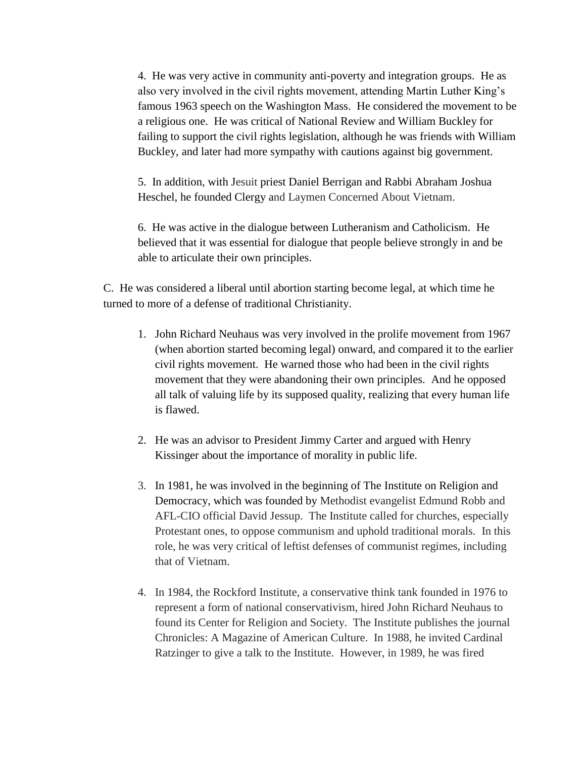4. He was very active in community anti-poverty and integration groups. He as also very involved in the civil rights movement, attending Martin Luther King's famous 1963 speech on the Washington Mass. He considered the movement to be a religious one. He was critical of National Review and William Buckley for failing to support the civil rights legislation, although he was friends with William Buckley, and later had more sympathy with cautions against big government.

5. In addition, with Jesuit priest [Daniel Berrigan](https://en.wikipedia.org/wiki/Daniel_Berrigan) and Rabbi [Abraham Joshua](https://en.wikipedia.org/wiki/Abraham_Joshua_Heschel)  [Heschel,](https://en.wikipedia.org/wiki/Abraham_Joshua_Heschel) he founded Clergy and Laymen Concerned About Vietnam.

6. He was active in the dialogue between Lutheranism and Catholicism. He believed that it was essential for dialogue that people believe strongly in and be able to articulate their own principles.

C. He was considered a liberal until abortion starting become legal, at which time he turned to more of a defense of traditional Christianity.

- 1. John Richard Neuhaus was very involved in the prolife movement from 1967 (when abortion started becoming legal) onward, and compared it to the earlier civil rights movement. He warned those who had been in the civil rights movement that they were abandoning their own principles. And he opposed all talk of valuing life by its supposed quality, realizing that every human life is flawed.
- 2. He was an advisor to President Jimmy Carter and argued with Henry Kissinger about the importance of morality in public life.
- 3. In 1981, he was involved in the beginning of The Institute on Religion and Democracy, which was founded by Methodist evangelist Edmund Robb and AFL-CIO official David Jessup. The Institute called for churches, especially Protestant ones, to oppose communism and uphold traditional morals. In this role, he was very critical of leftist defenses of communist regimes, including that of Vietnam.
- 4. In 1984, the Rockford Institute, a conservative think tank founded in 1976 to represent a form of national conservativism, hired John Richard Neuhaus to found its Center for Religion and Society. The Institute publishes the journal Chronicles: A Magazine of American Culture. In 1988, he invited Cardinal Ratzinger to give a talk to the Institute. However, in 1989, he was fired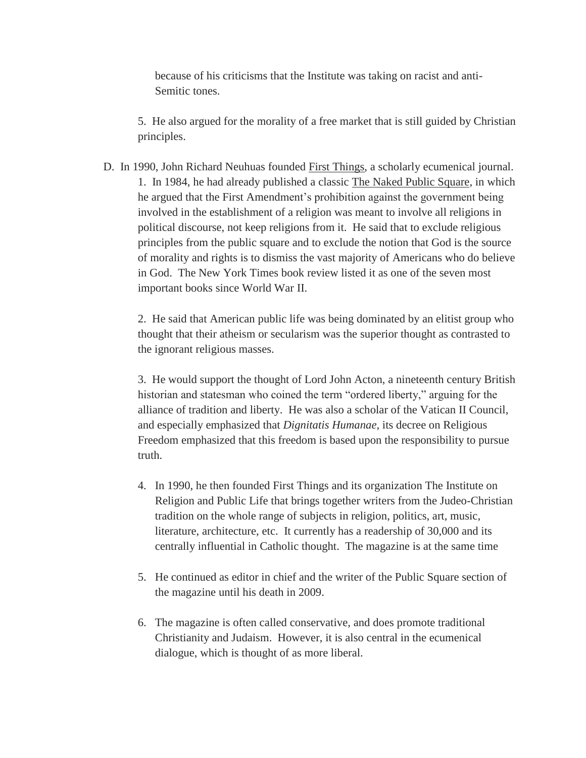because of his criticisms that the Institute was taking on racist and anti-Semitic tones.

5. He also argued for the morality of a free market that is still guided by Christian principles.

D. In 1990, John Richard Neuhuas founded First Things, a scholarly ecumenical journal. 1. In 1984, he had already published a classic The Naked Public Square, in which he argued that the First Amendment's prohibition against the government being involved in the establishment of a religion was meant to involve all religions in political discourse, not keep religions from it. He said that to exclude religious principles from the public square and to exclude the notion that God is the source of morality and rights is to dismiss the vast majority of Americans who do believe in God. The New York Times book review listed it as one of the seven most important books since World War II.

2. He said that American public life was being dominated by an elitist group who thought that their atheism or secularism was the superior thought as contrasted to the ignorant religious masses.

3. He would support the thought of Lord John Acton, a nineteenth century British historian and statesman who coined the term "ordered liberty," arguing for the alliance of tradition and liberty. He was also a scholar of the Vatican II Council, and especially emphasized that *Dignitatis Humanae*, its decree on Religious Freedom emphasized that this freedom is based upon the responsibility to pursue truth.

- 4. In 1990, he then founded First Things and its organization The Institute on Religion and Public Life that brings together writers from the Judeo-Christian tradition on the whole range of subjects in religion, politics, art, music, literature, architecture, etc. It currently has a readership of 30,000 and its centrally influential in Catholic thought. The magazine is at the same time
- 5. He continued as editor in chief and the writer of the Public Square section of the magazine until his death in 2009.
- 6. The magazine is often called conservative, and does promote traditional Christianity and Judaism. However, it is also central in the ecumenical dialogue, which is thought of as more liberal.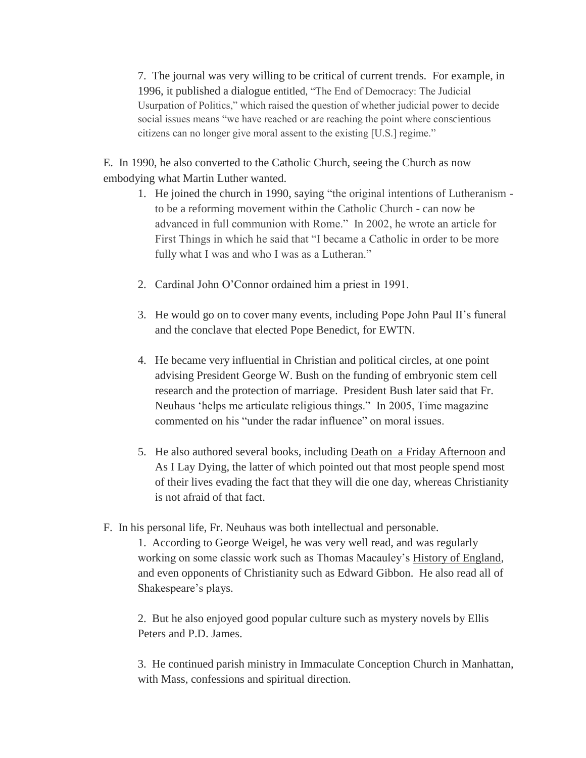7. The journal was very willing to be critical of current trends. For example, in 1996, it published a dialogue entitled, "The End of Democracy: The Judicial Usurpation of Politics," which raised the question of whether judicial power to decide social issues means "we have reached or are reaching the point where conscientious citizens can no longer give moral assent to the existing [U.S.] regime."

E. In 1990, he also converted to the Catholic Church, seeing the Church as now embodying what Martin Luther wanted.

- 1. He joined the church in 1990, saying "the original intentions of Lutheranism to be a reforming movement within the Catholic Church - can now be advanced in full communion with Rome." In 2002, he wrote an article for First Things in which he said that "I became a Catholic in order to be more fully what I was and who I was as a Lutheran."
- 2. Cardinal John O'Connor ordained him a priest in 1991.
- 3. He would go on to cover many events, including Pope John Paul II's funeral and the conclave that elected Pope Benedict, for EWTN.
- 4. He became very influential in Christian and political circles, at one point advising President George W. Bush on the funding of embryonic stem cell research and the protection of marriage. President Bush later said that Fr. Neuhaus 'helps me articulate religious things." In 2005, Time magazine commented on his "under the radar influence" on moral issues.
- 5. He also authored several books, including Death on a Friday Afternoon and As I Lay Dying, the latter of which pointed out that most people spend most of their lives evading the fact that they will die one day, whereas Christianity is not afraid of that fact.
- F. In his personal life, Fr. Neuhaus was both intellectual and personable.

1. According to George Weigel, he was very well read, and was regularly working on some classic work such as Thomas Macauley's History of England, and even opponents of Christianity such as Edward Gibbon. He also read all of Shakespeare's plays.

2. But he also enjoyed good popular culture such as mystery novels by Ellis Peters and P.D. James.

3. He continued parish ministry in Immaculate Conception Church in Manhattan, with Mass, confessions and spiritual direction.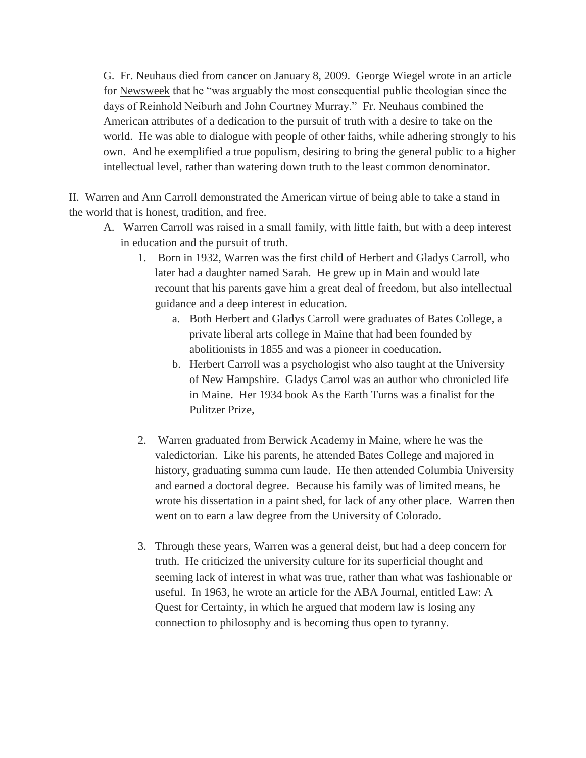G. Fr. Neuhaus died from cancer on January 8, 2009. George Wiegel wrote in an article for Newsweek that he "was arguably the most consequential public theologian since the days of Reinhold Neiburh and John Courtney Murray." Fr. Neuhaus combined the American attributes of a dedication to the pursuit of truth with a desire to take on the world. He was able to dialogue with people of other faiths, while adhering strongly to his own. And he exemplified a true populism, desiring to bring the general public to a higher intellectual level, rather than watering down truth to the least common denominator.

II. Warren and Ann Carroll demonstrated the American virtue of being able to take a stand in the world that is honest, tradition, and free.

- A. Warren Carroll was raised in a small family, with little faith, but with a deep interest in education and the pursuit of truth.
	- 1. Born in 1932, Warren was the first child of Herbert and Gladys Carroll, who later had a daughter named Sarah. He grew up in Main and would late recount that his parents gave him a great deal of freedom, but also intellectual guidance and a deep interest in education.
		- a. Both Herbert and Gladys Carroll were graduates of Bates College, a private liberal arts college in Maine that had been founded by abolitionists in 1855 and was a pioneer in coeducation.
		- b. Herbert Carroll was a psychologist who also taught at the University of New Hampshire. Gladys Carrol was an author who chronicled life in Maine. Her 1934 book As the Earth Turns was a finalist for the Pulitzer Prize,
	- 2. Warren graduated from Berwick Academy in Maine, where he was the valedictorian. Like his parents, he attended Bates College and majored in history, graduating summa cum laude. He then attended Columbia University and earned a doctoral degree. Because his family was of limited means, he wrote his dissertation in a paint shed, for lack of any other place. Warren then went on to earn a law degree from the University of Colorado.
	- 3. Through these years, Warren was a general deist, but had a deep concern for truth. He criticized the university culture for its superficial thought and seeming lack of interest in what was true, rather than what was fashionable or useful. In 1963, he wrote an article for the ABA Journal, entitled Law: A Quest for Certainty, in which he argued that modern law is losing any connection to philosophy and is becoming thus open to tyranny.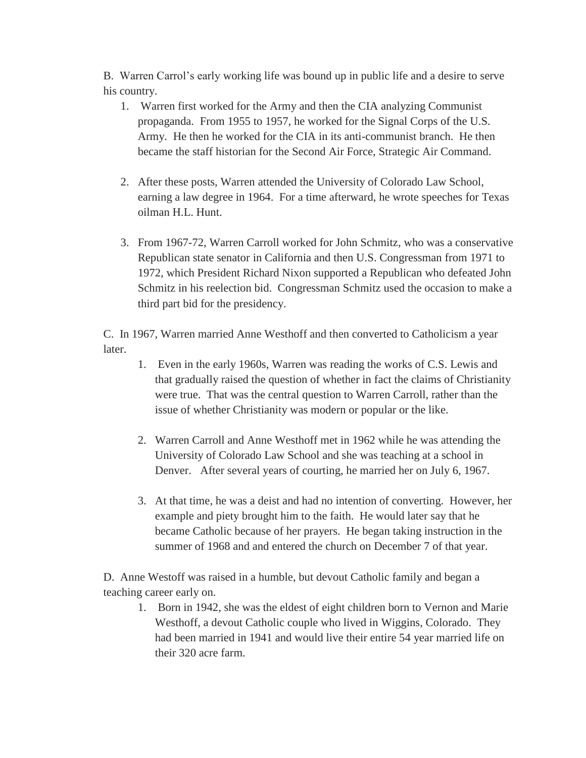B. Warren Carrol's early working life was bound up in public life and a desire to serve his country.

- 1. Warren first worked for the Army and then the CIA analyzing Communist propaganda. From 1955 to 1957, he worked for the Signal Corps of the U.S. Army. He then he worked for the CIA in its anti-communist branch. He then became the staff historian for the Second Air Force, Strategic Air Command.
- 2. After these posts, Warren attended the University of Colorado Law School, earning a law degree in 1964. For a time afterward, he wrote speeches for Texas oilman H.L. Hunt.
- 3. From 1967-72, Warren Carroll worked for John Schmitz, who was a conservative Republican state senator in California and then U.S. Congressman from 1971 to 1972, which President Richard Nixon supported a Republican who defeated John Schmitz in his reelection bid. Congressman Schmitz used the occasion to make a third part bid for the presidency.

C. In 1967, Warren married Anne Westhoff and then converted to Catholicism a year later.

- 1. Even in the early 1960s, Warren was reading the works of C.S. Lewis and that gradually raised the question of whether in fact the claims of Christianity were true. That was the central question to Warren Carroll, rather than the issue of whether Christianity was modern or popular or the like.
- 2. Warren Carroll and Anne Westhoff met in 1962 while he was attending the University of Colorado Law School and she was teaching at a school in Denver. After several years of courting, he married her on July 6, 1967.
- 3. At that time, he was a deist and had no intention of converting. However, her example and piety brought him to the faith. He would later say that he became Catholic because of her prayers. He began taking instruction in the summer of 1968 and and entered the church on December 7 of that year.

D. Anne Westoff was raised in a humble, but devout Catholic family and began a teaching career early on.

1. Born in 1942, she was the eldest of eight children born to Vernon and Marie Westhoff, a devout Catholic couple who lived in Wiggins, Colorado. They had been married in 1941 and would live their entire 54 year married life on their 320 acre farm.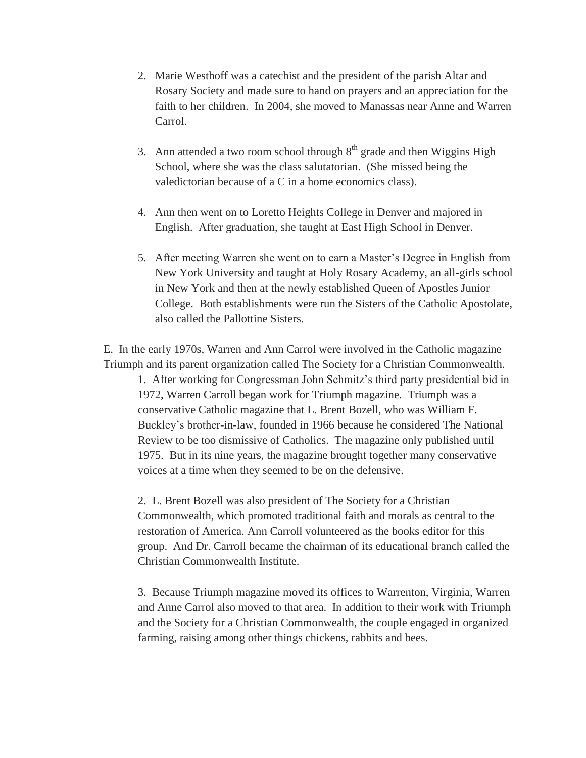- 2. Marie Westhoff was a catechist and the president of the parish Altar and Rosary Society and made sure to hand on prayers and an appreciation for the faith to her children. In 2004, she moved to Manassas near Anne and Warren Carrol.
- 3. Ann attended a two room school through  $8<sup>th</sup>$  grade and then Wiggins High School, where she was the class salutatorian. (She missed being the valedictorian because of a C in a home economics class).
- 4. Ann then went on to Loretto Heights College in Denver and majored in English. After graduation, she taught at East High School in Denver.
- 5. After meeting Warren she went on to earn a Master's Degree in English from New York University and taught at Holy Rosary Academy, an all-girls school in New York and then at the newly established Queen of Apostles Junior College. Both establishments were run the Sisters of the Catholic Apostolate, also called the Pallottine Sisters.

E. In the early 1970s, Warren and Ann Carrol were involved in the Catholic magazine Triumph and its parent organization called The Society for a Christian Commonwealth.

1. After working for Congressman John Schmitz's third party presidential bid in 1972, Warren Carroll began work for Triumph magazine. Triumph was a conservative Catholic magazine that L. Brent Bozell, who was William F. Buckley's brother-in-law, founded in 1966 because he considered The National Review to be too dismissive of Catholics. The magazine only published until 1975. But in its nine years, the magazine brought together many conservative voices at a time when they seemed to be on the defensive.

2. L. Brent Bozell was also president of The Society for a Christian Commonwealth, which promoted traditional faith and morals as central to the restoration of America. Ann Carroll volunteered as the books editor for this group. And Dr. Carroll became the chairman of its educational branch called the Christian Commonwealth Institute.

3. Because Triumph magazine moved its offices to Warrenton, Virginia, Warren and Anne Carrol also moved to that area. In addition to their work with Triumph and the Society for a Christian Commonwealth, the couple engaged in organized farming, raising among other things chickens, rabbits and bees.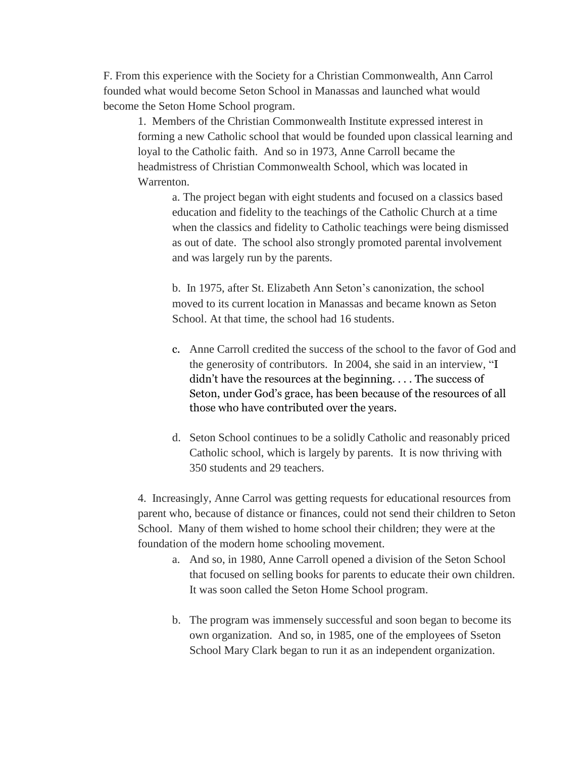F. From this experience with the Society for a Christian Commonwealth, Ann Carrol founded what would become Seton School in Manassas and launched what would become the Seton Home School program.

1. Members of the Christian Commonwealth Institute expressed interest in forming a new Catholic school that would be founded upon classical learning and loyal to the Catholic faith. And so in 1973, Anne Carroll became the headmistress of Christian Commonwealth School, which was located in Warrenton.

a. The project began with eight students and focused on a classics based education and fidelity to the teachings of the Catholic Church at a time when the classics and fidelity to Catholic teachings were being dismissed as out of date. The school also strongly promoted parental involvement and was largely run by the parents.

b. In 1975, after St. Elizabeth Ann Seton's canonization, the school moved to its current location in Manassas and became known as Seton School. At that time, the school had 16 students.

- c. Anne Carroll credited the success of the school to the favor of God and the generosity of contributors. In 2004, she said in an interview, "I didn't have the resources at the beginning. . . . The success of Seton, under God's grace, has been because of the resources of all those who have contributed over the years.
- d. Seton School continues to be a solidly Catholic and reasonably priced Catholic school, which is largely by parents. It is now thriving with 350 students and 29 teachers.

4. Increasingly, Anne Carrol was getting requests for educational resources from parent who, because of distance or finances, could not send their children to Seton School. Many of them wished to home school their children; they were at the foundation of the modern home schooling movement.

- a. And so, in 1980, Anne Carroll opened a division of the Seton School that focused on selling books for parents to educate their own children. It was soon called the Seton Home School program.
- b. The program was immensely successful and soon began to become its own organization. And so, in 1985, one of the employees of Sseton School Mary Clark began to run it as an independent organization.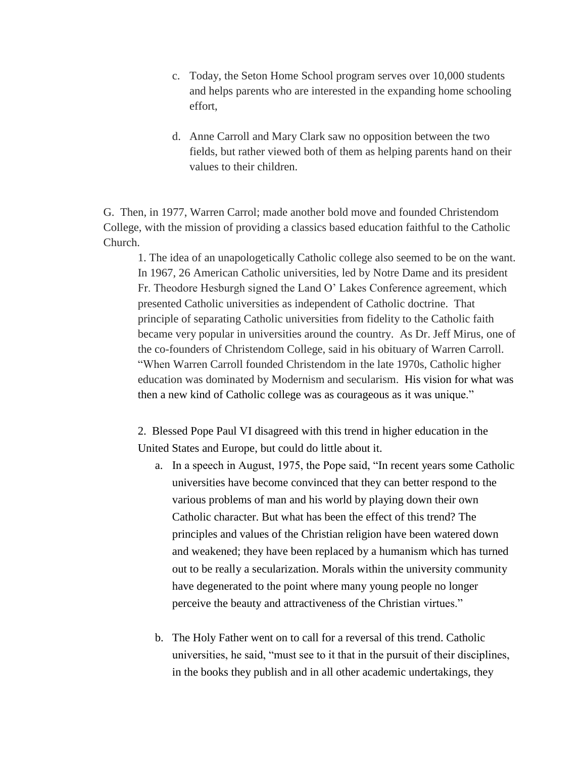- c. Today, the Seton Home School program serves over 10,000 students and helps parents who are interested in the expanding home schooling effort,
- d. Anne Carroll and Mary Clark saw no opposition between the two fields, but rather viewed both of them as helping parents hand on their values to their children.

G. Then, in 1977, Warren Carrol; made another bold move and founded Christendom College, with the mission of providing a classics based education faithful to the Catholic Church.

1. The idea of an unapologetically Catholic college also seemed to be on the want. In 1967, 26 American Catholic universities, led by Notre Dame and its president Fr. Theodore Hesburgh signed the Land O' Lakes Conference agreement, which presented Catholic universities as independent of Catholic doctrine. That principle of separating Catholic universities from fidelity to the Catholic faith became very popular in universities around the country. As Dr. Jeff Mirus, one of the co-founders of Christendom College, said in his obituary of Warren Carroll. "When Warren Carroll founded Christendom in the late 1970s, Catholic higher education was dominated by Modernism and secularism. His vision for what was then a new kind of Catholic college was as courageous as it was unique."

2. Blessed Pope Paul VI disagreed with this trend in higher education in the United States and Europe, but could do little about it.

- a. In a speech in August, 1975, the Pope said, "In recent years some Catholic universities have become convinced that they can better respond to the various problems of man and his world by playing down their own Catholic character. But what has been the effect of this trend? The principles and values of the Christian religion have been watered down and weakened; they have been replaced by a humanism which has turned out to be really a secularization. Morals within the university community have degenerated to the point where many young people no longer perceive the beauty and attractiveness of the Christian virtues."
- b. The Holy Father went on to call for a reversal of this trend. Catholic universities, he said, "must see to it that in the pursuit of their disciplines, in the books they publish and in all other academic undertakings, they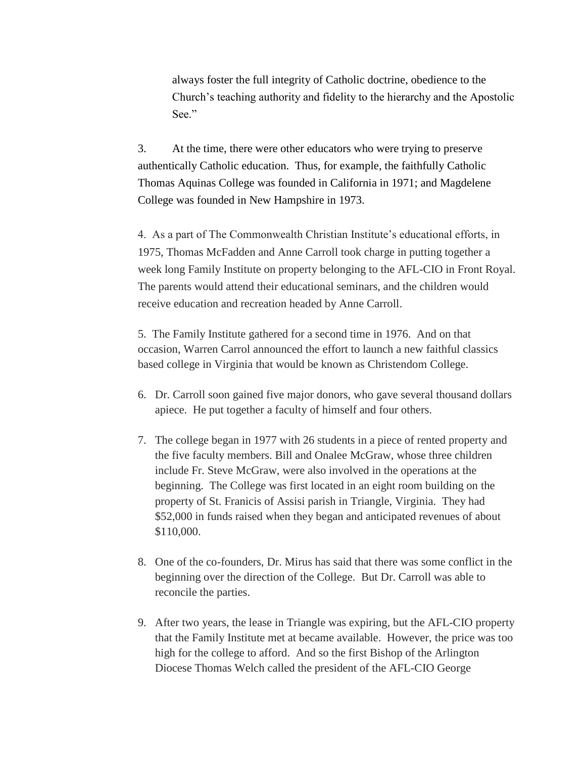always foster the full integrity of Catholic doctrine, obedience to the Church's teaching authority and fidelity to the hierarchy and the Apostolic See."

3. At the time, there were other educators who were trying to preserve authentically Catholic education. Thus, for example, the faithfully Catholic Thomas Aquinas College was founded in California in 1971; and Magdelene College was founded in New Hampshire in 1973.

4. As a part of The Commonwealth Christian Institute's educational efforts, in 1975, Thomas McFadden and Anne Carroll took charge in putting together a week long Family Institute on property belonging to the AFL-CIO in Front Royal. The parents would attend their educational seminars, and the children would receive education and recreation headed by Anne Carroll.

5. The Family Institute gathered for a second time in 1976. And on that occasion, Warren Carrol announced the effort to launch a new faithful classics based college in Virginia that would be known as Christendom College.

- 6. Dr. Carroll soon gained five major donors, who gave several thousand dollars apiece. He put together a faculty of himself and four others.
- 7. The college began in 1977 with 26 students in a piece of rented property and the five faculty members. Bill and Onalee McGraw, whose three children include Fr. Steve McGraw, were also involved in the operations at the beginning. The College was first located in an eight room building on the property of St. Franicis of Assisi parish in Triangle, Virginia. They had \$52,000 in funds raised when they began and anticipated revenues of about \$110,000.
- 8. One of the co-founders, Dr. Mirus has said that there was some conflict in the beginning over the direction of the College. But Dr. Carroll was able to reconcile the parties.
- 9. After two years, the lease in Triangle was expiring, but the AFL-CIO property that the Family Institute met at became available. However, the price was too high for the college to afford. And so the first Bishop of the Arlington Diocese Thomas Welch called the president of the AFL-CIO George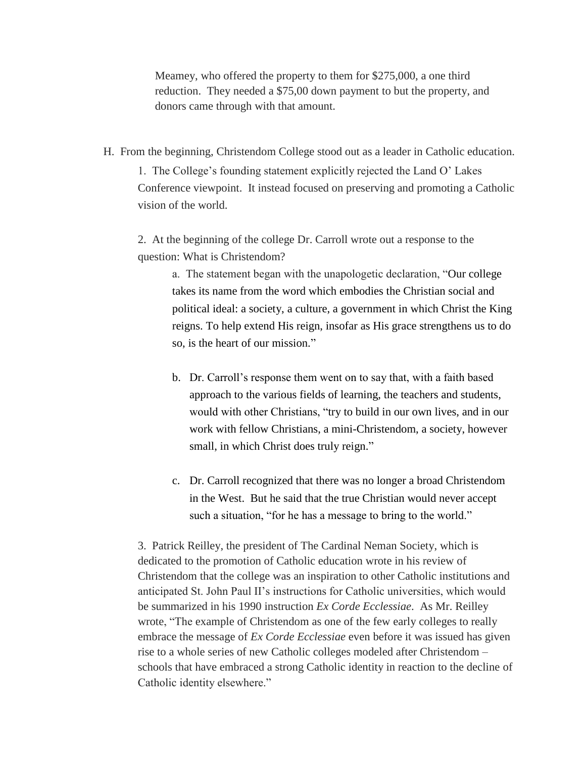Meamey, who offered the property to them for \$275,000, a one third reduction. They needed a \$75,00 down payment to but the property, and donors came through with that amount.

H. From the beginning, Christendom College stood out as a leader in Catholic education.

1. The College's founding statement explicitly rejected the Land O' Lakes Conference viewpoint. It instead focused on preserving and promoting a Catholic vision of the world.

2. At the beginning of the college Dr. Carroll wrote out a response to the question: What is Christendom?

> a. The statement began with the unapologetic declaration, "Our college takes its name from the word which embodies the Christian social and political ideal: a society, a culture, a government in which Christ the King reigns. To help extend His reign, insofar as His grace strengthens us to do so, is the heart of our mission."

- b. Dr. Carroll's response them went on to say that, with a faith based approach to the various fields of learning, the teachers and students, would with other Christians, "try to build in our own lives, and in our work with fellow Christians, a mini-Christendom, a society, however small, in which Christ does truly reign."
- c. Dr. Carroll recognized that there was no longer a broad Christendom in the West. But he said that the true Christian would never accept such a situation, "for he has a message to bring to the world."

3. Patrick Reilley, the president of The Cardinal Neman Society, which is dedicated to the promotion of Catholic education wrote in his review of Christendom that the college was an inspiration to other Catholic institutions and anticipated St. John Paul II's instructions for Catholic universities, which would be summarized in his 1990 instruction *Ex Corde Ecclessiae*. As Mr. Reilley wrote, "The example of Christendom as one of the few early colleges to really embrace the message of *Ex Corde Ecclessiae* even before it was issued has given rise to a whole series of new Catholic colleges modeled after Christendom – schools that have embraced a strong Catholic identity in reaction to the decline of Catholic identity elsewhere."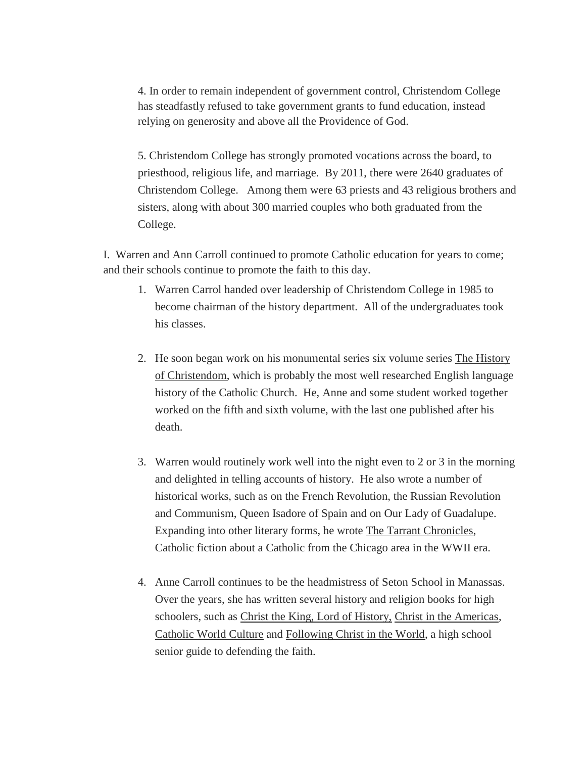4. In order to remain independent of government control, Christendom College has steadfastly refused to take government grants to fund education, instead relying on generosity and above all the Providence of God.

5. Christendom College has strongly promoted vocations across the board, to priesthood, religious life, and marriage. By 2011, there were 2640 graduates of Christendom College. Among them were 63 priests and 43 religious brothers and sisters, along with about 300 married couples who both graduated from the College.

I. Warren and Ann Carroll continued to promote Catholic education for years to come; and their schools continue to promote the faith to this day.

- 1. Warren Carrol handed over leadership of Christendom College in 1985 to become chairman of the history department. All of the undergraduates took his classes.
- 2. He soon began work on his monumental series six volume series The History of Christendom, which is probably the most well researched English language history of the Catholic Church. He, Anne and some student worked together worked on the fifth and sixth volume, with the last one published after his death.
- 3. Warren would routinely work well into the night even to 2 or 3 in the morning and delighted in telling accounts of history. He also wrote a number of historical works, such as on the French Revolution, the Russian Revolution and Communism, Queen Isadore of Spain and on Our Lady of Guadalupe. Expanding into other literary forms, he wrote The Tarrant Chronicles, Catholic fiction about a Catholic from the Chicago area in the WWII era.
- 4. Anne Carroll continues to be the headmistress of Seton School in Manassas. Over the years, she has written several history and religion books for high schoolers, such as Christ the King, Lord of History, Christ in the Americas, Catholic World Culture and Following Christ in the World, a high school senior guide to defending the faith.